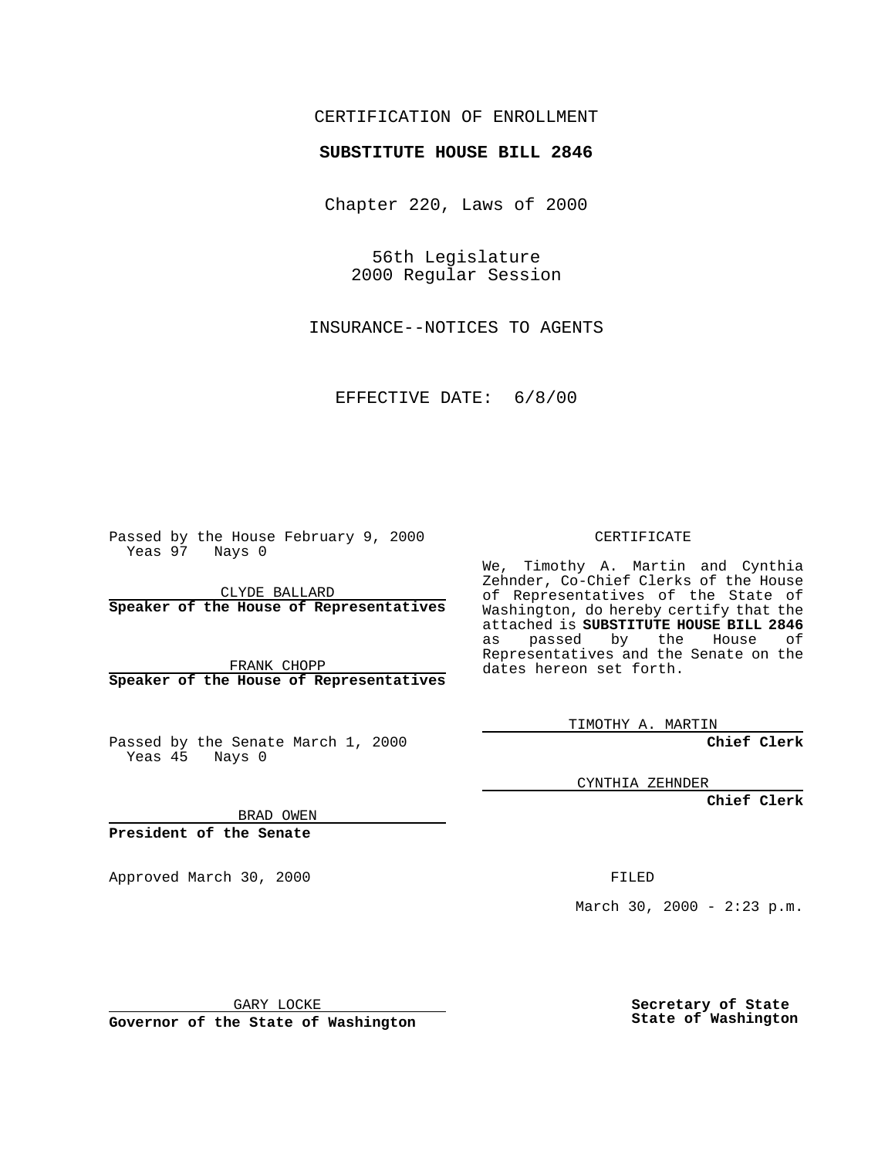## CERTIFICATION OF ENROLLMENT

## **SUBSTITUTE HOUSE BILL 2846**

Chapter 220, Laws of 2000

56th Legislature 2000 Regular Session

INSURANCE--NOTICES TO AGENTS

EFFECTIVE DATE: 6/8/00

Passed by the House February 9, 2000 Yeas 97 Nays 0

CLYDE BALLARD **Speaker of the House of Representatives**

FRANK CHOPP **Speaker of the House of Representatives**

Passed by the Senate March 1, 2000 Yeas 45 Nays 0

CERTIFICATE

We, Timothy A. Martin and Cynthia Zehnder, Co-Chief Clerks of the House of Representatives of the State of Washington, do hereby certify that the attached is **SUBSTITUTE HOUSE BILL 2846** as passed by the House of Representatives and the Senate on the dates hereon set forth.

TIMOTHY A. MARTIN

**Chief Clerk**

CYNTHIA ZEHNDER

**Chief Clerk**

BRAD OWEN

**President of the Senate**

Approved March 30, 2000 FILED

March 30, 2000 -  $2:23$  p.m.

GARY LOCKE

**Governor of the State of Washington**

**Secretary of State State of Washington**